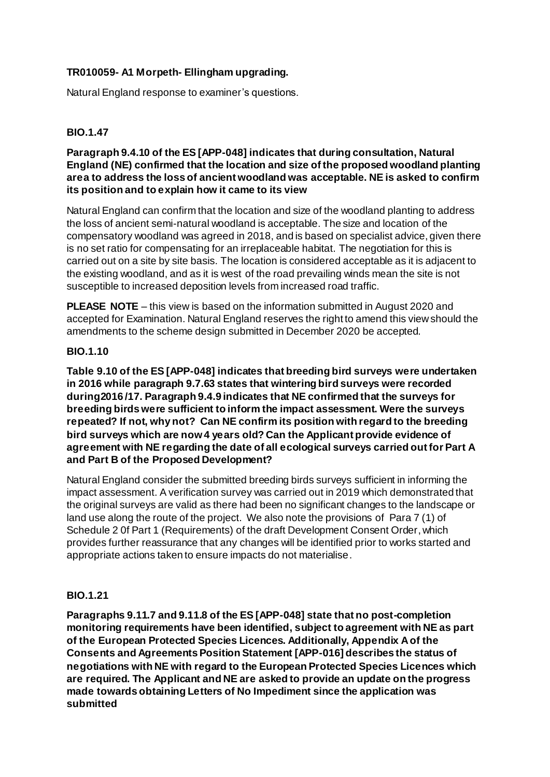# **TR010059- A1 Morpeth- Ellingham upgrading.**

Natural England response to examiner's questions.

# **BIO.1.47**

**Paragraph 9.4.10 of the ES [APP-048] indicates that during consultation, Natural England (NE) confirmed that the location and size of the proposed woodland planting area to address the loss of ancient woodland was acceptable. NE is asked to confirm its position and to explain how it came to its view**

Natural England can confirm that the location and size of the woodland planting to address the loss of ancient semi-natural woodland is acceptable. The size and location of the compensatory woodland was agreed in 2018, and is based on specialist advice, given there is no set ratio for compensating for an irreplaceable habitat. The negotiation for this is carried out on a site by site basis. The location is considered acceptable as it is adjacent to the existing woodland, and as it is west of the road prevailing winds mean the site is not susceptible to increased deposition levels from increased road traffic.

**PLEASE NOTE** – this view is based on the information submitted in August 2020 and accepted for Examination. Natural England reserves the right to amend this view should the amendments to the scheme design submitted in December 2020 be accepted.

## **BIO.1.10**

**Table 9.10 of the ES [APP-048] indicates that breeding bird surveys were undertaken in 2016 while paragraph 9.7.63 states that wintering bird surveys were recorded during2016 /17. Paragraph 9.4.9 indicates that NE confirmed that the surveys for breeding birds were sufficient to inform the impact assessment. Were the surveys repeated? If not, why not? Can NE confirm its position with regard to the breeding bird surveys which are now 4 years old? Can the Applicant provide evidence of agreement with NE regarding the date of all ecological surveys carried out for Part A and Part B of the Proposed Development?**

Natural England consider the submitted breeding birds surveys sufficient in informing the impact assessment. A verification survey was carried out in 2019 which demonstrated that the original surveys are valid as there had been no significant changes to the landscape or land use along the route of the project. We also note the provisions of Para 7 (1) of Schedule 2 0f Part 1 (Requirements) of the draft Development Consent Order, which provides further reassurance that any changes will be identified prior to works started and appropriate actions taken to ensure impacts do not materialise.

#### **BIO.1.21**

**Paragraphs 9.11.7 and 9.11.8 of the ES [APP-048] state that no post-completion monitoring requirements have been identified, subject to agreement with NE as part of the European Protected Species Licences. Additionally, Appendix A of the Consents and Agreements Position Statement [APP-016] describes the status of negotiations with NE with regard to the European Protected Species Licences which are required. The Applicant and NE are asked to provide an update on the progress made towards obtaining Letters of No Impediment since the application was submitted**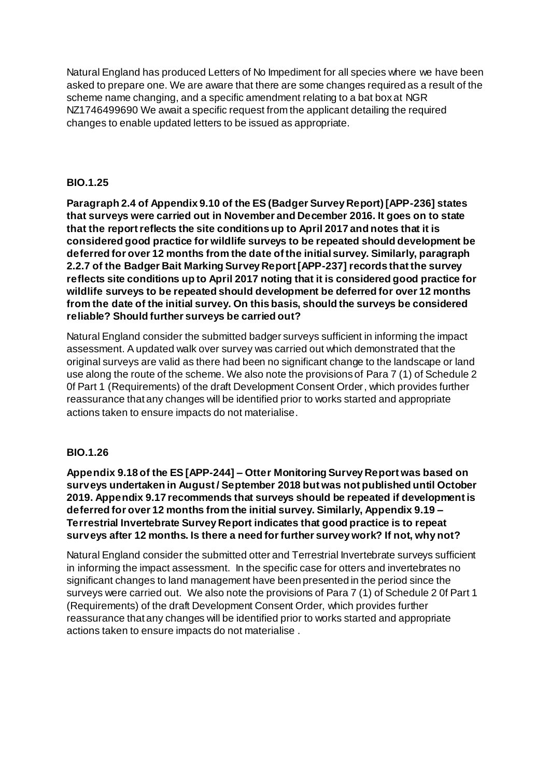Natural England has produced Letters of No Impediment for all species where we have been asked to prepare one. We are aware that there are some changes required as a result of the scheme name changing, and a specific amendment relating to a bat box at NGR NZ1746499690 We await a specific request from the applicant detailing the required changes to enable updated letters to be issued as appropriate.

# **BIO.1.25**

**Paragraph 2.4 of Appendix 9.10 of the ES (Badger Survey Report) [APP-236] states that surveys were carried out in November and December 2016. It goes on to state that the report reflects the site conditions up to April 2017 and notes that it is considered good practice for wildlife surveys to be repeated should development be deferred for over 12 months from the date of the initial survey. Similarly, paragraph 2.2.7 of the Badger Bait Marking Survey Report [APP-237] records that the survey reflects site conditions up to April 2017 noting that it is considered good practice for wildlife surveys to be repeated should development be deferred for over 12 months from the date of the initial survey. On this basis, should the surveys be considered reliable? Should further surveys be carried out?**

Natural England consider the submitted badger surveys sufficient in informing the impact assessment. A updated walk over survey was carried out which demonstrated that the original surveys are valid as there had been no significant change to the landscape or land use along the route of the scheme. We also note the provisions of Para 7 (1) of Schedule 2 0f Part 1 (Requirements) of the draft Development Consent Order, which provides further reassurance that any changes will be identified prior to works started and appropriate actions taken to ensure impacts do not materialise.

# **BIO.1.26**

**Appendix 9.18 of the ES [APP-244] – Otter Monitoring Survey Report was based on surveys undertaken in August / September 2018 but was not published until October 2019. Appendix 9.17 recommends that surveys should be repeated if development is deferred for over 12 months from the initial survey. Similarly, Appendix 9.19 – Terrestrial Invertebrate Survey Report indicates that good practice is to repeat surveys after 12 months. Is there a need for further survey work? If not, why not?**

Natural England consider the submitted otter and Terrestrial Invertebrate surveys sufficient in informing the impact assessment. In the specific case for otters and invertebrates no significant changes to land management have been presented in the period since the surveys were carried out. We also note the provisions of Para 7 (1) of Schedule 2 0f Part 1 (Requirements) of the draft Development Consent Order, which provides further reassurance that any changes will be identified prior to works started and appropriate actions taken to ensure impacts do not materialise .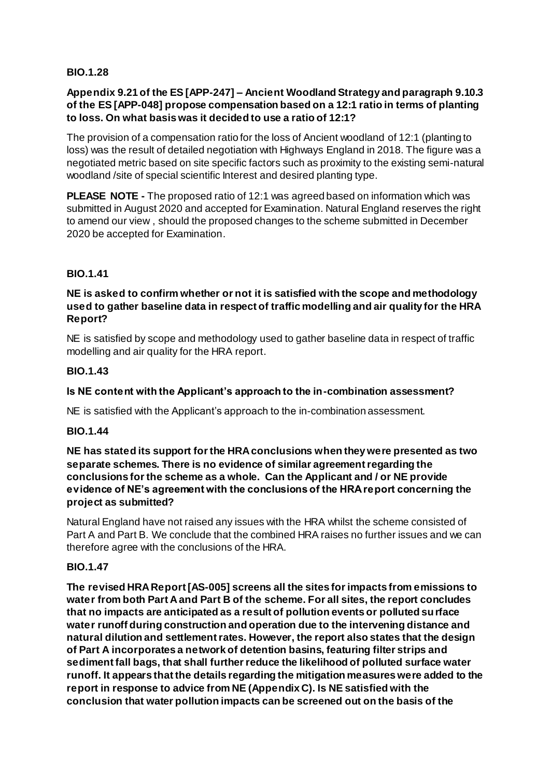#### **BIO.1.28**

### **Appendix 9.21 of the ES [APP-247] – Ancient Woodland Strategy and paragraph 9.10.3 of the ES [APP-048] propose compensation based on a 12:1 ratio in terms of planting to loss. On what basis was it decided to use a ratio of 12:1?**

The provision of a compensation ratio for the loss of Ancient woodland of 12:1 (planting to loss) was the result of detailed negotiation with Highways England in 2018. The figure was a negotiated metric based on site specific factors such as proximity to the existing semi-natural woodland /site of special scientific Interest and desired planting type.

**PLEASE NOTE -** The proposed ratio of 12:1 was agreed based on information which was submitted in August 2020 and accepted for Examination. Natural England reserves the right to amend our view , should the proposed changes to the scheme submitted in December 2020 be accepted for Examination.

## **BIO.1.41**

#### **NE is asked to confirm whether or not it is satisfied with the scope and methodology used to gather baseline data in respect of traffic modelling and air quality for the HRA Report?**

NE is satisfied by scope and methodology used to gather baseline data in respect of traffic modelling and air quality for the HRA report.

## **BIO.1.43**

## **Is NE content with the Applicant's approach to the in-combination assessment?**

NE is satisfied with the Applicant's approach to the in-combination assessment.

#### **BIO.1.44**

#### **NE has stated its support for the HRA conclusions when they were presented as two separate schemes. There is no evidence of similar agreement regarding the conclusions for the scheme as a whole. Can the Applicant and / or NE provide evidence of NE's agreement with the conclusions of the HRA report concerning the project as submitted?**

Natural England have not raised any issues with the HRA whilst the scheme consisted of Part A and Part B. We conclude that the combined HRA raises no further issues and we can therefore agree with the conclusions of the HRA.

#### **BIO.1.47**

**The revised HRA Report [AS-005] screens all the sites for impacts from emissions to water from both Part A and Part B of the scheme. For all sites, the report concludes that no impacts are anticipated as a result of pollution events or polluted surface water runoff during construction and operation due to the intervening distance and natural dilution and settlement rates. However, the report also states that the design of Part A incorporates a network of detention basins, featuring filter strips and sediment fall bags, that shall further reduce the likelihood of polluted surface water runoff. It appears that the details regarding the mitigation measures were added to the report in response to advice from NE (Appendix C). Is NE satisfied with the conclusion that water pollution impacts can be screened out on the basis of the**